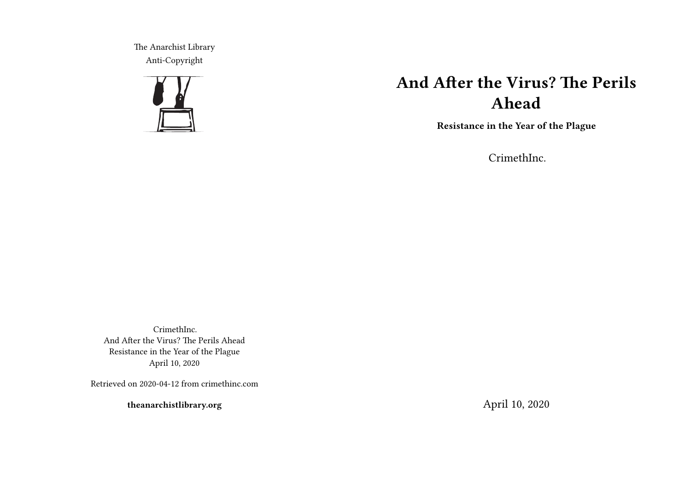The Anarchist Library Anti-Copyright



# **And After the Virus? The Perils Ahead**

**Resistance in the Year of the Plague**

CrimethInc.

CrimethInc. And After the Virus? The Perils Ahead Resistance in the Year of the Plague April 10, 2020

Retrieved on 2020-04-12 from crimethinc.com

**theanarchistlibrary.org**

April 10, 2020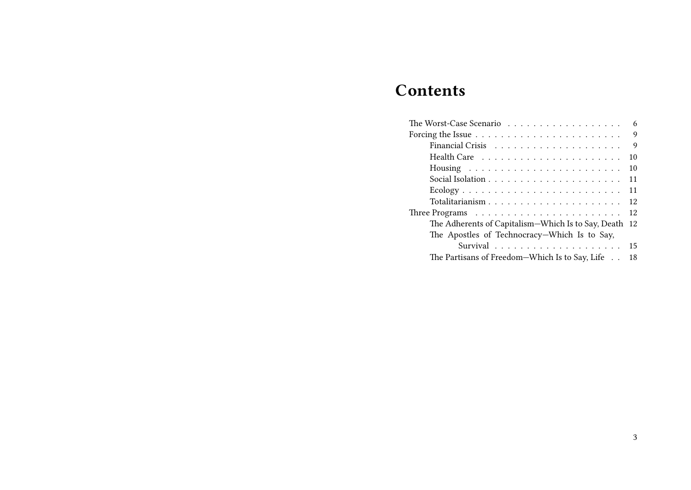# **Contents**

| The Worst-Case Scenario                                                     | 6   |
|-----------------------------------------------------------------------------|-----|
| Forcing the Issue $\ldots \ldots \ldots \ldots \ldots \ldots \ldots \ldots$ | 9   |
|                                                                             | 9   |
|                                                                             | 10  |
|                                                                             | 10  |
|                                                                             | 11  |
|                                                                             | 11  |
|                                                                             | 12  |
| Three Programs $\ldots \ldots \ldots \ldots \ldots \ldots \ldots \ldots$    | 12  |
| The Adherents of Capitalism—Which Is to Say, Death                          | -12 |
| The Apostles of Technocracy-Which Is to Say,                                |     |
|                                                                             | 15  |
| The Partisans of Freedom-Which Is to Say, Life                              | 18  |
|                                                                             |     |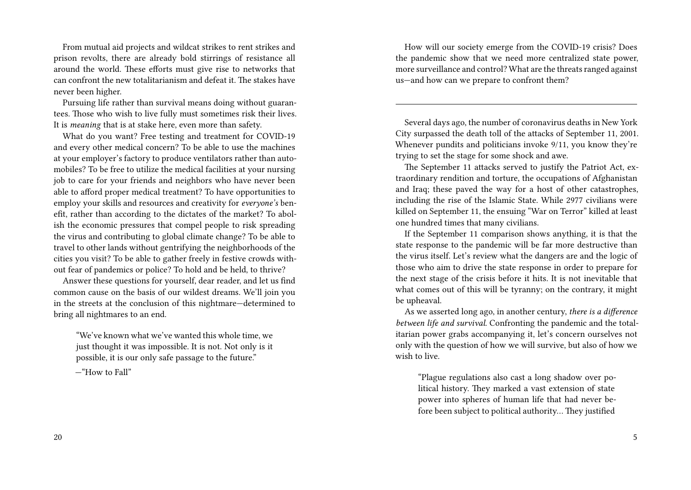From mutual aid projects and wildcat strikes to rent strikes and prison revolts, there are already bold stirrings of resistance all around the world. These efforts must give rise to networks that can confront the new totalitarianism and defeat it. The stakes have never been higher.

Pursuing life rather than survival means doing without guarantees. Those who wish to live fully must sometimes risk their lives. It is *meaning* that is at stake here, even more than safety.

What do you want? Free testing and treatment for COVID-19 and every other medical concern? To be able to use the machines at your employer's factory to produce ventilators rather than automobiles? To be free to utilize the medical facilities at your nursing job to care for your friends and neighbors who have never been able to afford proper medical treatment? To have opportunities to employ your skills and resources and creativity for *everyone's* benefit, rather than according to the dictates of the market? To abolish the economic pressures that compel people to risk spreading the virus and contributing to global climate change? To be able to travel to other lands without gentrifying the neighborhoods of the cities you visit? To be able to gather freely in festive crowds without fear of pandemics or police? To hold and be held, to thrive?

Answer these questions for yourself, dear reader, and let us find common cause on the basis of our wildest dreams. We'll join you in the streets at the conclusion of this nightmare—determined to bring all nightmares to an end.

"We've known what we've wanted this whole time, we just thought it was impossible. It is not. Not only is it possible, it is our only safe passage to the future."

—"How to Fall"

How will our society emerge from the COVID-19 crisis? Does the pandemic show that we need more centralized state power, more surveillance and control? What are the threats ranged against us—and how can we prepare to confront them?

Several days ago, the number of coronavirus deaths in New York City surpassed the death toll of the attacks of September 11, 2001. Whenever pundits and politicians invoke 9/11, you know they're trying to set the stage for some shock and awe.

The September 11 attacks served to justify the Patriot Act, extraordinary rendition and torture, the occupations of Afghanistan and Iraq; these paved the way for a host of other catastrophes, including the rise of the Islamic State. While 2977 civilians were killed on September 11, the ensuing "War on Terror" killed at least one hundred times that many civilians.

If the September 11 comparison shows anything, it is that the state response to the pandemic will be far more destructive than the virus itself. Let's review what the dangers are and the logic of those who aim to drive the state response in order to prepare for the next stage of the crisis before it hits. It is not inevitable that what comes out of this will be tyranny; on the contrary, it might be upheaval.

As we asserted long ago, in another century, *there is a difference between life and survival.* Confronting the pandemic and the totalitarian power grabs accompanying it, let's concern ourselves not only with the question of how we will survive, but also of how we wish to live.

"Plague regulations also cast a long shadow over political history. They marked a vast extension of state power into spheres of human life that had never before been subject to political authority… They justified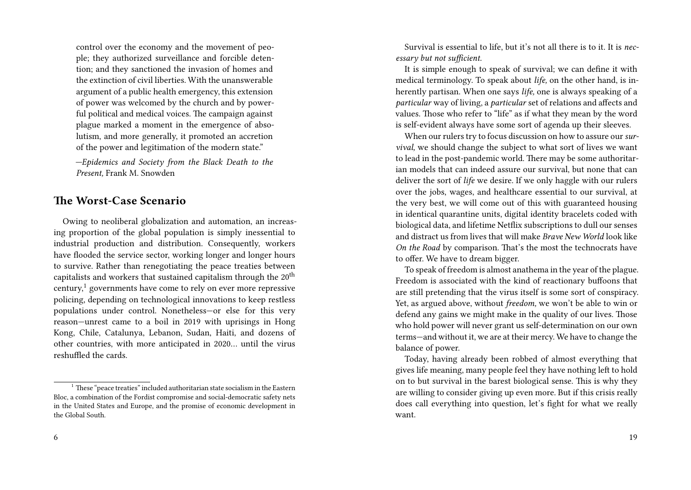control over the economy and the movement of people; they authorized surveillance and forcible detention; and they sanctioned the invasion of homes and the extinction of civil liberties. With the unanswerable argument of a public health emergency, this extension of power was welcomed by the church and by powerful political and medical voices. The campaign against plague marked a moment in the emergence of absolutism, and more generally, it promoted an accretion of the power and legitimation of the modern state."

*—Epidemics and Society from the Black Death to the Present,* Frank M. Snowden

## **The Worst-Case Scenario**

Owing to neoliberal globalization and automation, an increasing proportion of the global population is simply inessential to industrial production and distribution. Consequently, workers have flooded the service sector, working longer and longer hours to survive. Rather than renegotiating the peace treaties between capitalists and workers that sustained capitalism through the  $20<sup>th</sup>$ century, $<sup>1</sup>$  governments have come to rely on ever more repressive</sup> policing, depending on technological innovations to keep restless populations under control. Nonetheless—or else for this very reason—unrest came to a boil in 2019 with uprisings in Hong Kong, Chile, Catalunya, Lebanon, Sudan, Haiti, and dozens of other countries, with more anticipated in 2020… until the virus reshuffled the cards.

Survival is essential to life, but it's not all there is to it. It is *necessary but not sufficient.*

It is simple enough to speak of survival; we can define it with medical terminology. To speak about *life,* on the other hand, is inherently partisan. When one says *life,* one is always speaking of a *particular* way of living, a *particular* set of relations and affects and values. Those who refer to "life" as if what they mean by the word is self-evident always have some sort of agenda up their sleeves.

When our rulers try to focus discussion on how to assure our*survival,* we should change the subject to what sort of lives we want to lead in the post-pandemic world. There may be some authoritarian models that can indeed assure our survival, but none that can deliver the sort of *life* we desire. If we only haggle with our rulers over the jobs, wages, and healthcare essential to our survival, at the very best, we will come out of this with guaranteed housing in identical quarantine units, digital identity bracelets coded with biological data, and lifetime Netflix subscriptions to dull our senses and distract us from lives that will make *Brave New World* look like *On the Road* by comparison. That's the most the technocrats have to offer. We have to dream bigger.

To speak of freedom is almost anathema in the year of the plague. Freedom is associated with the kind of reactionary buffoons that are still pretending that the virus itself is some sort of conspiracy. Yet, as argued above, without *freedom,* we won't be able to win or defend any gains we might make in the quality of our lives. Those who hold power will never grant us self-determination on our own terms—and without it, we are at their mercy. We have to change the balance of power.

Today, having already been robbed of almost everything that gives life meaning, many people feel they have nothing left to hold on to but survival in the barest biological sense. This is why they are willing to consider giving up even more. But if this crisis really does call everything into question, let's fight for what we really want.

 $1$  These "peace treaties" included authoritarian state socialism in the Eastern Bloc, a combination of the Fordist compromise and social-democratic safety nets in the United States and Europe, and the promise of economic development in the Global South.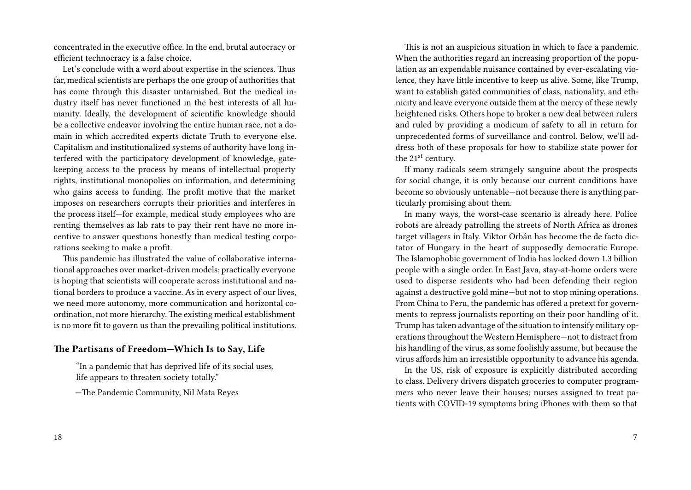concentrated in the executive office. In the end, brutal autocracy or efficient technocracy is a false choice.

Let's conclude with a word about expertise in the sciences. Thus far, medical scientists are perhaps the one group of authorities that has come through this disaster untarnished. But the medical industry itself has never functioned in the best interests of all humanity. Ideally, the development of scientific knowledge should be a collective endeavor involving the entire human race, not a domain in which accredited experts dictate Truth to everyone else. Capitalism and institutionalized systems of authority have long interfered with the participatory development of knowledge, gatekeeping access to the process by means of intellectual property rights, institutional monopolies on information, and determining who gains access to funding. The profit motive that the market imposes on researchers corrupts their priorities and interferes in the process itself—for example, medical study employees who are renting themselves as lab rats to pay their rent have no more incentive to answer questions honestly than medical testing corporations seeking to make a profit.

This pandemic has illustrated the value of collaborative international approaches over market-driven models; practically everyone is hoping that scientists will cooperate across institutional and national borders to produce a vaccine. As in every aspect of our lives, we need more autonomy, more communication and horizontal coordination, not more hierarchy. The existing medical establishment is no more fit to govern us than the prevailing political institutions.

### **The Partisans of Freedom—Which Is to Say, Life**

"In a pandemic that has deprived life of its social uses, life appears to threaten society totally."

—The Pandemic Community, Nil Mata Reyes

This is not an auspicious situation in which to face a pandemic. When the authorities regard an increasing proportion of the population as an expendable nuisance contained by ever-escalating violence, they have little incentive to keep us alive. Some, like Trump, want to establish gated communities of class, nationality, and ethnicity and leave everyone outside them at the mercy of these newly heightened risks. Others hope to broker a new deal between rulers and ruled by providing a modicum of safety to all in return for unprecedented forms of surveillance and control. Below, we'll address both of these proposals for how to stabilize state power for the 21<sup>st</sup> century.

If many radicals seem strangely sanguine about the prospects for social change, it is only because our current conditions have become so obviously untenable—not because there is anything particularly promising about them.

In many ways, the worst-case scenario is already here. Police robots are already patrolling the streets of North Africa as drones target villagers in Italy. Viktor Orbán has become the de facto dictator of Hungary in the heart of supposedly democratic Europe. The Islamophobic government of India has locked down 1.3 billion people with a single order. In East Java, stay-at-home orders were used to disperse residents who had been defending their region against a destructive gold mine—but not to stop mining operations. From China to Peru, the pandemic has offered a pretext for governments to repress journalists reporting on their poor handling of it. Trump has taken advantage of the situation to intensify military operations throughout the Western Hemisphere—not to distract from his handling of the virus, as some foolishly assume, but because the virus affords him an irresistible opportunity to advance his agenda.

In the US, risk of exposure is explicitly distributed according to class. Delivery drivers dispatch groceries to computer programmers who never leave their houses; nurses assigned to treat patients with COVID-19 symptoms bring iPhones with them so that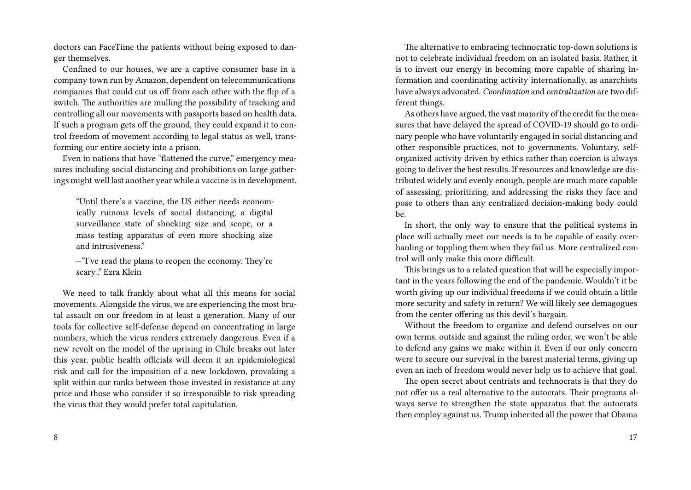doctors can FaceTime the patients without being exposed to danger themselves.

Confined to our houses, we are a captive consumer base in a company town run by Amazon, dependent on telecommunications companies that could cut us off from each other with the flip of a switch. The authorities are mulling the possibility of tracking and controlling all our movements with passports based on health data. If such a program gets off the ground, they could expand it to control freedom of movement according to legal status as well, transforming our entire society into a prison.

Even in nations that have "flattened the curve," emergency measures including social distancing and prohibitions on large gatherings might well last another year while a vaccine is in development.

"Until there's a vaccine, the US either needs economically ruinous levels of social distancing, a digital surveillance state of shocking size and scope, or a mass testing apparatus of even more shocking size and intrusiveness."

—"I've read the plans to reopen the economy. They're scary.," Ezra Klein

We need to talk frankly about what all this means for social movements. Alongside the virus, we are experiencing the most brutal assault on our freedom in at least a generation. Many of our tools for collective self-defense depend on concentrating in large numbers, which the virus renders extremely dangerous. Even if a new revolt on the model of the uprising in Chile breaks out later this year, public health officials will deem it an epidemiological risk and call for the imposition of a new lockdown, provoking a split within our ranks between those invested in resistance at any price and those who consider it so irresponsible to risk spreading the virus that they would prefer total capitulation.

8

The alternative to embracing technocratic top-down solutions is not to celebrate individual freedom on an isolated basis. Rather, it is to invest our energy in becoming more capable of sharing information and coordinating activity internationally, as anarchists have always advocated. *Coordination* and *centralization* are two different things.

As others have argued, the vast majority of the credit for the measures that have delayed the spread of COVID-19 should go to ordinary people who have voluntarily engaged in social distancing and other responsible practices, not to governments. Voluntary, selforganized activity driven by ethics rather than coercion is always going to deliver the best results. If resources and knowledge are distributed widely and evenly enough, people are much more capable of assessing, prioritizing, and addressing the risks they face and pose to others than any centralized decision-making body could be.

In short, the only way to ensure that the political systems in place will actually meet our needs is to be capable of easily overhauling or toppling them when they fail us. More centralized control will only make this more difficult.

This brings us to a related question that will be especially important in the years following the end of the pandemic. Wouldn't it be worth giving up our individual freedoms if we could obtain a little more security and safety in return? We will likely see demagogues from the center offering us this devil's bargain.

Without the freedom to organize and defend ourselves on our own terms, outside and against the ruling order, we won't be able to defend any gains we make within it. Even if our only concern were to secure our survival in the barest material terms, giving up even an inch of freedom would never help us to achieve that goal.

The open secret about centrists and technocrats is that they do not offer us a real alternative to the autocrats. Their programs always serve to strengthen the state apparatus that the autocrats then employ against us. Trump inherited all the power that Obama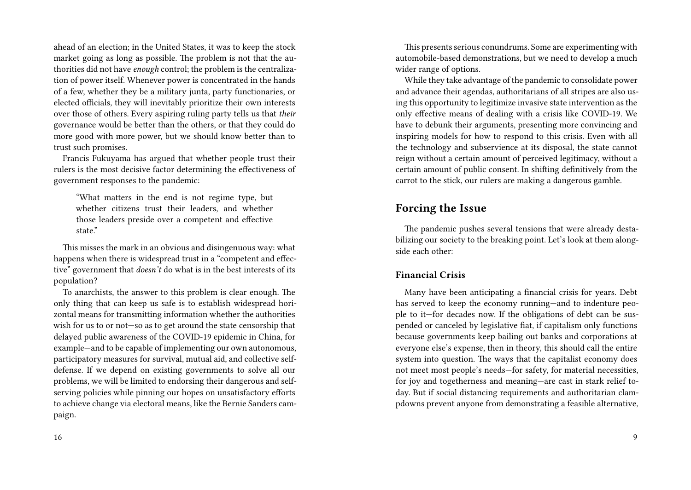ahead of an election; in the United States, it was to keep the stock market going as long as possible. The problem is not that the authorities did not have *enough* control; the problem is the centralization of power itself. Whenever power is concentrated in the hands of a few, whether they be a military junta, party functionaries, or elected officials, they will inevitably prioritize their own interests over those of others. Every aspiring ruling party tells us that *their* governance would be better than the others, or that they could do more good with more power, but we should know better than to trust such promises.

Francis Fukuyama has argued that whether people trust their rulers is the most decisive factor determining the effectiveness of government responses to the pandemic:

"What matters in the end is not regime type, but whether citizens trust their leaders, and whether those leaders preside over a competent and effective state."

This misses the mark in an obvious and disingenuous way: what happens when there is widespread trust in a "competent and effective" government that *doesn't* do what is in the best interests of its population?

To anarchists, the answer to this problem is clear enough. The only thing that can keep us safe is to establish widespread horizontal means for transmitting information whether the authorities wish for us to or not—so as to get around the state censorship that delayed public awareness of the COVID-19 epidemic in China, for example—and to be capable of implementing our own autonomous, participatory measures for survival, mutual aid, and collective selfdefense. If we depend on existing governments to solve all our problems, we will be limited to endorsing their dangerous and selfserving policies while pinning our hopes on unsatisfactory efforts to achieve change via electoral means, like the Bernie Sanders campaign.

This presents serious conundrums. Some are experimenting with automobile-based demonstrations, but we need to develop a much wider range of options.

While they take advantage of the pandemic to consolidate power and advance their agendas, authoritarians of all stripes are also using this opportunity to legitimize invasive state intervention as the only effective means of dealing with a crisis like COVID-19. We have to debunk their arguments, presenting more convincing and inspiring models for how to respond to this crisis. Even with all the technology and subservience at its disposal, the state cannot reign without a certain amount of perceived legitimacy, without a certain amount of public consent. In shifting definitively from the carrot to the stick, our rulers are making a dangerous gamble.

# **Forcing the Issue**

The pandemic pushes several tensions that were already destabilizing our society to the breaking point. Let's look at them alongside each other:

## **Financial Crisis**

Many have been anticipating a financial crisis for years. Debt has served to keep the economy running—and to indenture people to it—for decades now. If the obligations of debt can be suspended or canceled by legislative fiat, if capitalism only functions because governments keep bailing out banks and corporations at everyone else's expense, then in theory, this should call the entire system into question. The ways that the capitalist economy does not meet most people's needs—for safety, for material necessities, for joy and togetherness and meaning—are cast in stark relief today. But if social distancing requirements and authoritarian clampdowns prevent anyone from demonstrating a feasible alternative,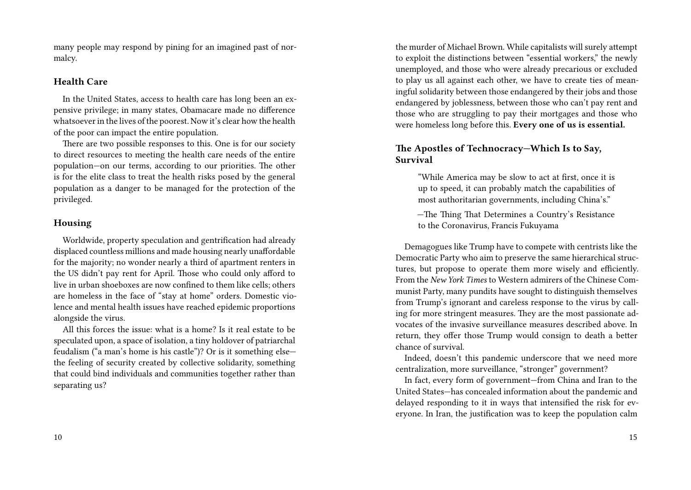many people may respond by pining for an imagined past of normalcy.

#### **Health Care**

In the United States, access to health care has long been an expensive privilege; in many states, Obamacare made no difference whatsoever in the lives of the poorest. Now it's clear how the health of the poor can impact the entire population.

There are two possible responses to this. One is for our society to direct resources to meeting the health care needs of the entire population—on our terms, according to our priorities. The other is for the elite class to treat the health risks posed by the general population as a danger to be managed for the protection of the privileged.

### **Housing**

Worldwide, property speculation and gentrification had already displaced countless millions and made housing nearly unaffordable for the majority; no wonder nearly a third of apartment renters in the US didn't pay rent for April. Those who could only afford to live in urban shoeboxes are now confined to them like cells; others are homeless in the face of "stay at home" orders. Domestic violence and mental health issues have reached epidemic proportions alongside the virus.

All this forces the issue: what is a home? Is it real estate to be speculated upon, a space of isolation, a tiny holdover of patriarchal feudalism ("a man's home is his castle")? Or is it something else the feeling of security created by collective solidarity, something that could bind individuals and communities together rather than separating us?

the murder of Michael Brown. While capitalists will surely attempt to exploit the distinctions between "essential workers," the newly unemployed, and those who were already precarious or excluded to play us all against each other, we have to create ties of meaningful solidarity between those endangered by their jobs and those endangered by joblessness, between those who can't pay rent and those who are struggling to pay their mortgages and those who were homeless long before this. **Every one of us is essential.**

### **The Apostles of Technocracy—Which Is to Say, Survival**

"While America may be slow to act at first, once it is up to speed, it can probably match the capabilities of most authoritarian governments, including China's."

—The Thing That Determines a Country's Resistance to the Coronavirus, Francis Fukuyama

Demagogues like Trump have to compete with centrists like the Democratic Party who aim to preserve the same hierarchical structures, but propose to operate them more wisely and efficiently. From the *New York Times* to Western admirers of the Chinese Communist Party, many pundits have sought to distinguish themselves from Trump's ignorant and careless response to the virus by calling for more stringent measures. They are the most passionate advocates of the invasive surveillance measures described above. In return, they offer those Trump would consign to death a better chance of survival.

Indeed, doesn't this pandemic underscore that we need more centralization, more surveillance, "stronger" government?

In fact, every form of government—from China and Iran to the United States—has concealed information about the pandemic and delayed responding to it in ways that intensified the risk for everyone. In Iran, the justification was to keep the population calm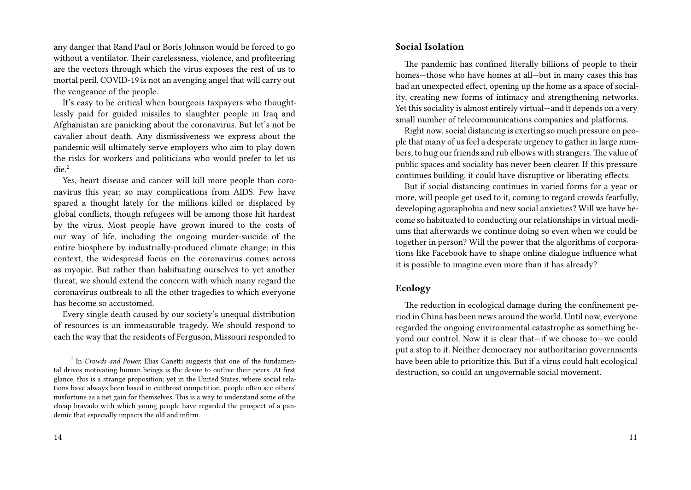any danger that Rand Paul or Boris Johnson would be forced to go without a ventilator. Their carelessness, violence, and profiteering are the vectors through which the virus exposes the rest of us to mortal peril. COVID-19 is not an avenging angel that will carry out the vengeance of the people.

It's easy to be critical when bourgeois taxpayers who thoughtlessly paid for guided missiles to slaughter people in Iraq and Afghanistan are panicking about the coronavirus. But let's not be cavalier about death. Any dismissiveness we express about the pandemic will ultimately serve employers who aim to play down the risks for workers and politicians who would prefer to let us die.<sup>2</sup>

Yes, heart disease and cancer will kill more people than coronavirus this year; so may complications from AIDS. Few have spared a thought lately for the millions killed or displaced by global conflicts, though refugees will be among those hit hardest by the virus. Most people have grown inured to the costs of our way of life, including the ongoing murder-suicide of the entire biosphere by industrially-produced climate change; in this context, the widespread focus on the coronavirus comes across as myopic. But rather than habituating ourselves to yet another threat, we should extend the concern with which many regard the coronavirus outbreak to all the other tragedies to which everyone has become so accustomed.

Every single death caused by our society's unequal distribution of resources is an immeasurable tragedy. We should respond to each the way that the residents of Ferguson, Missouri responded to

#### **Social Isolation**

The pandemic has confined literally billions of people to their homes—those who have homes at all—but in many cases this has had an unexpected effect, opening up the home as a space of sociality, creating new forms of intimacy and strengthening networks. Yet this sociality is almost entirely virtual—and it depends on a very small number of telecommunications companies and platforms.

Right now, social distancing is exerting so much pressure on people that many of us feel a desperate urgency to gather in large numbers, to hug our friends and rub elbows with strangers. The value of public spaces and sociality has never been clearer. If this pressure continues building, it could have disruptive or liberating effects.

But if social distancing continues in varied forms for a year or more, will people get used to it, coming to regard crowds fearfully, developing agoraphobia and new social anxieties? Will we have become so habituated to conducting our relationships in virtual mediums that afterwards we continue doing so even when we could be together in person? Will the power that the algorithms of corporations like Facebook have to shape online dialogue influence what it is possible to imagine even more than it has already?

### **Ecology**

The reduction in ecological damage during the confinement period in China has been news around the world. Until now, everyone regarded the ongoing environmental catastrophe as something beyond our control. Now it is clear that—if we choose to—we could put a stop to it. Neither democracy nor authoritarian governments have been able to prioritize this. But if a virus could halt ecological destruction, so could an ungovernable social movement.

<sup>&</sup>lt;sup>2</sup> In *Crowds and Power*, Elias Canetti suggests that one of the fundamental drives motivating human beings is the desire to outlive their peers. At first glance, this is a strange proposition; yet in the United States, where social relations have always been based in cutthroat competition, people often see others' misfortune as a net gain for themselves. This is a way to understand some of the cheap bravado with which young people have regarded the prospect of a pandemic that especially impacts the old and infirm.